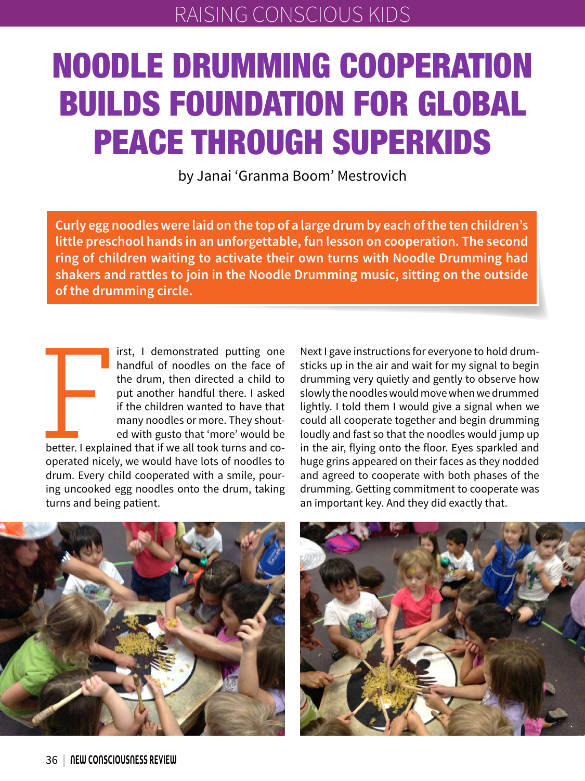# NOODLE DRUMMING COOPERATION BUILDS FOUNDATION FOR GLOBAL PEACE THROUGH SUPERKIDS

by Janai 'Granma Boom' Mestrovich

**Curly egg noodles were laid on the top of a large drum by each of the ten children's little preschool hands in an unforgettable, fun lesson on cooperation. The second ring of children waiting to activate their own turns with Noodle Drumming had shakers and rattles to join in the Noodle Drumming music, sitting on the outside of the drumming circle.**

**False Controller**<br>Better. I explain<br>Sperated nicely irst, I demonstrated putting one handful of noodles on the face of the drum, then directed a child to put another handful there. I asked if the children wanted to have that many noodles or more. They shouted with gusto that 'more' would be

better. I explained that if we all took turns and cooperated nicely, we would have lots of noodles to drum. Every child cooperated with a smile, pouring uncooked egg noodles onto the drum, taking turns and being patient.

Next I gave instructions for everyone to hold drumsticks up in the air and wait for my signal to begin drumming very quietly and gently to observe how slowly the noodles would move when we drummed lightly. I told them I would give a signal when we could all cooperate together and begin drumming loudly and fast so that the noodles would jump up in the air, flying onto the floor. Eyes sparkled and huge grins appeared on their faces as they nodded and agreed to cooperate with both phases of the drumming. Getting commitment to cooperate was an important key. And they did exactly that.



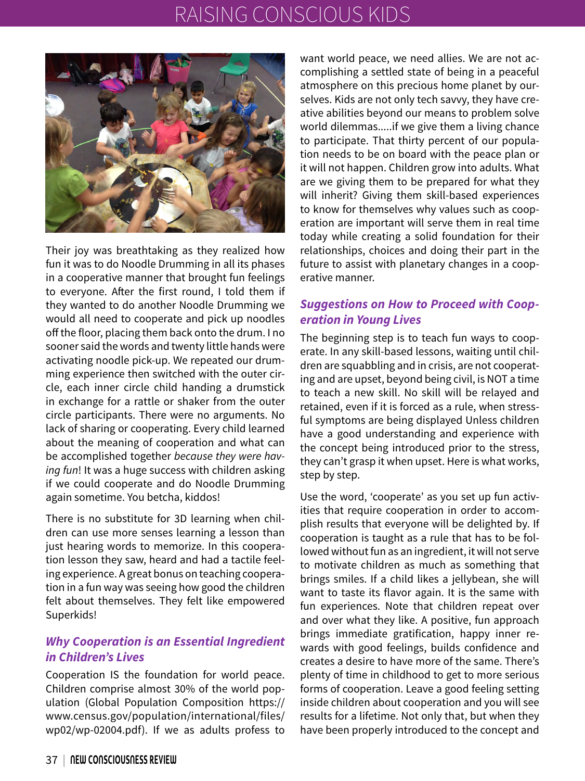## RAISING CONSCIOUS KIDS



Their joy was breathtaking as they realized how fun it was to do Noodle Drumming in all its phases in a cooperative manner that brought fun feelings to everyone. After the first round, I told them if they wanted to do another Noodle Drumming we would all need to cooperate and pick up noodles off the floor, placing them back onto the drum. I no sooner said the words and twenty little hands were activating noodle pick-up. We repeated our drumming experience then switched with the outer circle, each inner circle child handing a drumstick in exchange for a rattle or shaker from the outer circle participants. There were no arguments. No lack of sharing or cooperating. Every child learned about the meaning of cooperation and what can be accomplished together *because they were having fun*! It was a huge success with children asking if we could cooperate and do Noodle Drumming again sometime. You betcha, kiddos!

There is no substitute for 3D learning when children can use more senses learning a lesson than just hearing words to memorize. In this cooperation lesson they saw, heard and had a tactile feeling experience. A great bonus on teaching cooperation in a fun way was seeing how good the children felt about themselves. They felt like empowered Superkids!

### *Why Cooperation is an Essential Ingredient in Children's Lives*

Cooperation IS the foundation for world peace. Children comprise almost 30% of the world population (Global Population Composition https:// www.census.gov/population/international/files/ wp02/wp-02004.pdf). If we as adults profess to want world peace, we need allies. We are not accomplishing a settled state of being in a peaceful atmosphere on this precious home planet by ourselves. Kids are not only tech savvy, they have creative abilities beyond our means to problem solve world dilemmas.....if we give them a living chance to participate. That thirty percent of our population needs to be on board with the peace plan or it will not happen. Children grow into adults. What are we giving them to be prepared for what they will inherit? Giving them skill-based experiences to know for themselves why values such as cooperation are important will serve them in real time today while creating a solid foundation for their relationships, choices and doing their part in the future to assist with planetary changes in a cooperative manner.

#### *Suggestions on How to Proceed with Cooperation in Young Lives*

The beginning step is to teach fun ways to cooperate. In any skill-based lessons, waiting until children are squabbling and in crisis, are not cooperating and are upset, beyond being civil, is NOT a time to teach a new skill. No skill will be relayed and retained, even if it is forced as a rule, when stressful symptoms are being displayed Unless children have a good understanding and experience with the concept being introduced prior to the stress, they can't grasp it when upset. Here is what works, step by step.

Use the word, 'cooperate' as you set up fun activities that require cooperation in order to accomplish results that everyone will be delighted by. If cooperation is taught as a rule that has to be followed without fun as an ingredient, it will not serve to motivate children as much as something that brings smiles. If a child likes a jellybean, she will want to taste its flavor again. It is the same with fun experiences. Note that children repeat over and over what they like. A positive, fun approach brings immediate gratification, happy inner rewards with good feelings, builds confidence and creates a desire to have more of the same. There's plenty of time in childhood to get to more serious forms of cooperation. Leave a good feeling setting inside children about cooperation and you will see results for a lifetime. Not only that, but when they have been properly introduced to the concept and